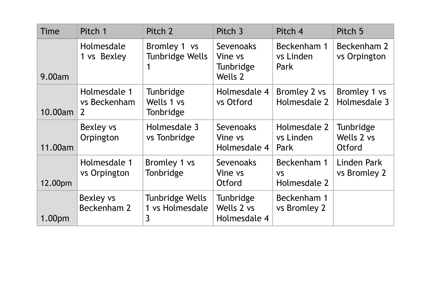| Time               | Pitch 1                                        | Pitch 2                                 | Pitch <sub>3</sub>                                  | Pitch 4                                  | Pitch 5                                  |
|--------------------|------------------------------------------------|-----------------------------------------|-----------------------------------------------------|------------------------------------------|------------------------------------------|
| 9.00am             | Holmesdale<br>1 vs Bexley                      | Bromley 1 vs<br>Tunbridge Wells         | <b>Sevenoaks</b><br>Vine vs<br>Tunbridge<br>Wells 2 | Beckenham 1<br>vs Linden<br>Park         | Beckenham 2<br>vs Orpington              |
| 10.00am            | Holmesdale 1<br>vs Beckenham<br>$\overline{2}$ | Tunbridge<br>Wells 1 vs<br>Tonbridge    | Holmesdale 4<br>vs Otford                           | Bromley 2 vs<br>Holmesdale 2             | Bromley 1 vs<br>Holmesdale 3             |
| 11.00am            | Bexley vs<br>Orpington                         | Holmesdale 3<br>vs Tonbridge            | Sevenoaks<br>Vine vs<br>Holmesdale 4                | Holmesdale 2<br>vs Linden<br>Park        | Tunbridge<br>Wells 2 vs<br><b>Otford</b> |
| 12.00pm            | Holmesdale 1<br>vs Orpington                   | Bromley 1 vs<br>Tonbridge               | Sevenoaks<br>Vine vs<br><b>Otford</b>               | Beckenham 1<br><b>VS</b><br>Holmesdale 2 | Linden Park<br>vs Bromley 2              |
| 1.00 <sub>pm</sub> | Bexley vs<br>Beckenham 2                       | Tunbridge Wells<br>1 vs Holmesdale<br>3 | Tunbridge<br>Wells 2 vs<br>Holmesdale 4             | Beckenham 1<br>vs Bromley 2              |                                          |